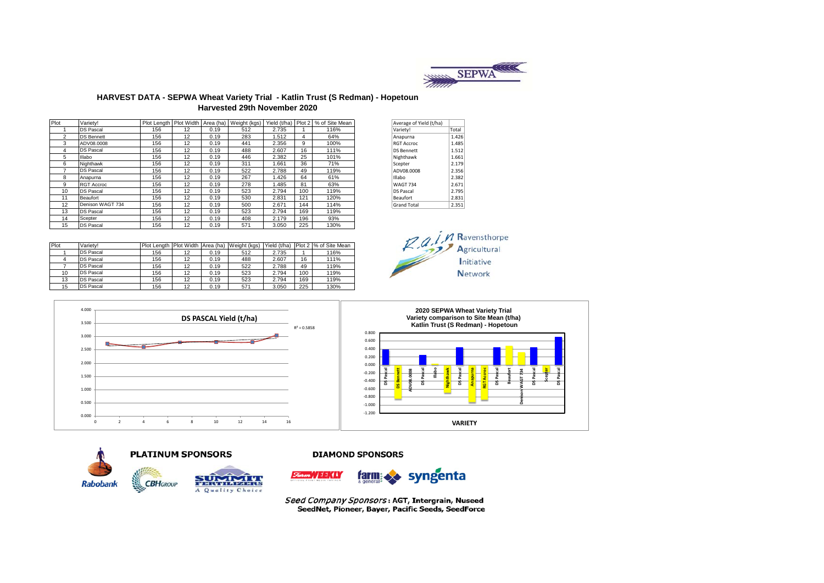

#### **HARVEST DATA - SEPWA Wheat Variety Trial - Katlin Trust (S Redman) - Hopetoun Harvested 29th November 2020**

| Plot           | Varietv!          |     |    |      | Plot Length   Plot Width   Area (ha)   Weight (kgs) |       |     | Yield (t/ha) Plot 2 % of Site Mean | Average of Yield (t/ha) |       |
|----------------|-------------------|-----|----|------|-----------------------------------------------------|-------|-----|------------------------------------|-------------------------|-------|
|                | <b>DS Pascal</b>  | 156 | 12 | 0.19 | 512                                                 | 2.735 |     | 116%                               | Variety!                | Total |
| $\overline{2}$ | <b>DS Bennett</b> | 156 | 12 | 0.19 | 283                                                 | 1.512 | 4   | 64%                                | Anapurna                | 1.426 |
| 3              | ADV08.0008        | 156 | 12 | 0.19 | 441                                                 | 2.356 | 9   | 100%                               | <b>RGT Accroc</b>       | 1.485 |
| 4              | <b>DS Pascal</b>  | 156 | 12 | 0.19 | 488                                                 | 2.607 | 16  | 111%                               | <b>DS Bennett</b>       | 1.512 |
| 5              | Illabo            | 156 | 12 | 0.19 | 446                                                 | 2.382 | 25  | 101%                               | Nighthawk               | 1.661 |
| 6              | Nighthawk         | 156 | 12 | 0.19 | 311                                                 | 1.661 | 36  | 71%                                | Scepter                 | 2.179 |
|                | <b>DS Pascal</b>  | 156 | 12 | 0.19 | 522                                                 | 2.788 | 49  | 119%                               | ADV08.0008              | 2.356 |
| 8              | Anapurna          | 156 | 12 | 0.19 | 267                                                 | 1.426 | 64  | 61%                                | <b>Illabo</b>           | 2.382 |
| 9              | <b>RGT Accroc</b> | 156 | 12 | 0.19 | 278                                                 | 1.485 | 81  | 63%                                | <b>WAGT 734</b>         | 2.671 |
| 10             | <b>DS Pascal</b>  | 156 | 12 | 0.19 | 523                                                 | 2.794 | 100 | 119%                               | <b>DS Pascal</b>        | 2.795 |
| 11             | Beaufort          | 156 | 12 | 0.19 | 530                                                 | 2.831 | 121 | 120%                               | Beaufort                | 2.831 |
| 12             | Denison WAGT 734  | 156 | 12 | 0.19 | 500                                                 | 2.671 | 144 | 114%                               | <b>Grand Total</b>      | 2.351 |
| 13             | <b>DS Pascal</b>  | 156 | 12 | 0.19 | 523                                                 | 2.794 | 169 | 119%                               |                         |       |
| 14             | Scepter           | 156 | 12 | 0.19 | 408                                                 | 2.179 | 196 | 93%                                |                         |       |
| 15             | <b>DS Pascal</b>  | 156 | 12 | 0.19 | 571                                                 | 3.050 | 225 | 130%                               |                         |       |

| Average of Yield (t/ha) |       |
|-------------------------|-------|
| Variety!                | Total |
| Anapurna                | 1.426 |
| <b>RGT Accroc</b>       | 1.485 |
| <b>DS Bennett</b>       | 1.512 |
| Nighthawk               | 1.661 |
| Scepter                 | 2.179 |
| ADV08.0008              | 2.356 |
| Illabo                  | 2.382 |
| <b>WAGT 734</b>         | 2.671 |
| <b>DS Pascal</b>        | 2.795 |
| <b>Beaufort</b>         | 2.831 |
| <b>Grand Total</b>      | 2.351 |
|                         |       |

| Plot | Varietv!         |     |    |      | Plot Length Plot Width Area (ha) Weight (kgs) | Yield (t/ha) |     | Plot 2 % of Site Mean |
|------|------------------|-----|----|------|-----------------------------------------------|--------------|-----|-----------------------|
|      | <b>DS Pascal</b> | 156 | 12 | 0.19 | 512                                           | 2.735        |     | 116%                  |
|      | <b>DS Pascal</b> | 156 | 12 | 0.19 | 488                                           | 2.607        | 16  | 111%                  |
|      | <b>DS Pascal</b> | 156 | 12 | 0.19 | 522                                           | 2.788        | 49  | 119%                  |
| 10   | <b>DS Pascal</b> | 156 | 12 | 0.19 | 523                                           | 2.794        | 100 | 119%                  |
| 13   | <b>DS Pascal</b> | 156 | 12 | 0.19 | 523                                           | 2.794        | 169 | 119%                  |
| 15   | <b>DS Pascal</b> | 156 | 12 | 0.19 | 571                                           | 3.050        | 225 | 130%                  |









#### **DIAMOND SPONSORS**



Seed Company Sponsors: AGT, Intergrain, Nuseed SeedNet, Pioneer, Bayer, Pacific Seeds, SeedForce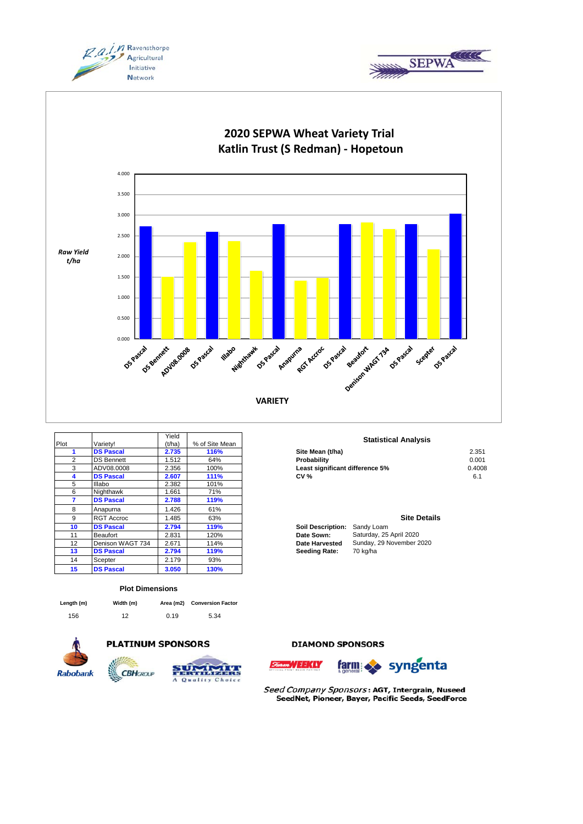





|      |                   | Yield  |                | <b>Statisti</b>                        |
|------|-------------------|--------|----------------|----------------------------------------|
| Plot | Varietv!          | (t/ha) | % of Site Mean |                                        |
|      | <b>DS Pascal</b>  | 2.735  | 116%           | Site Mean (t/ha)                       |
| 2    | <b>DS Bennett</b> | 1.512  | 64%            | Probability                            |
| 3    | ADV08.0008        | 2.356  | 100%           | Least significant difference 5%        |
| 4    | <b>DS Pascal</b>  | 2.607  | <b>111%</b>    | <b>CV %</b>                            |
| 5    | Illabo            | 2.382  | 101%           |                                        |
| 6    | Nighthawk         | 1.661  | 71%            |                                        |
| 7    | <b>DS Pascal</b>  | 2.788  | 119%           |                                        |
| 8    | Anapurna          | 1.426  | 61%            |                                        |
| 9    | <b>RGT Accroc</b> | 1.485  | 63%            |                                        |
| 10   | <b>DS Pascal</b>  | 2.794  | 119%           | <b>Soil Description:</b><br>Sandy Loam |
| 11   | Beaufort          | 2.831  | 120%           | Saturday, 25<br>Date Sown:             |
| 12   | Denison WAGT 734  | 2.671  | 114%           | Sunday, 29<br>Date Harvested           |
| 13   | <b>DS Pascal</b>  | 2.794  | 119%           | 70 kg/ha<br><b>Seeding Rate:</b>       |
| 14   | Scepter           | 2.179  | 93%            |                                        |
| 15   | <b>DS Pascal</b>  | 3.050  | 130%           |                                        |

#### **Plot Dimensions**

| Length (m) | Width (m) |      | Area (m2) Conversion Factor |
|------------|-----------|------|-----------------------------|
| 156        | 12        | 0.19 | 5.34                        |



## **PLATINUM SPONSORS**



# Quality Choice

#### **Statistical Analysis**

| .                 | .     | $100 - 1100 - 1100$ |                                 |        |
|-------------------|-------|---------------------|---------------------------------|--------|
| <b>DS Pascal</b>  | 2.735 | 116%                | Site Mean (t/ha)                | 2.351  |
| <b>DS Bennett</b> | .512  | 64%                 | Probability                     | 0.001  |
| ADV08.0008        | 2.356 | 100%                | Least significant difference 5% | 0.4008 |
| <b>DS Pascal</b>  | 2.607 | 111%                | <b>CV %</b>                     |        |
|                   |       |                     |                                 |        |

### **Site Details**

| ioil Description: | Sandy Loam               |
|-------------------|--------------------------|
| ate Sown:         | Saturday, 25 April 2020  |
| ate Harvested     | Sunday, 29 November 2020 |
| eeding Rate:      | 70 kg/ha                 |

**DIAMOND SPONSORS** 





Seed Company Sponsors: AGT, Intergrain, Nuseed SeedNet, Pioneer, Bayer, Pacific Seeds, SeedForce